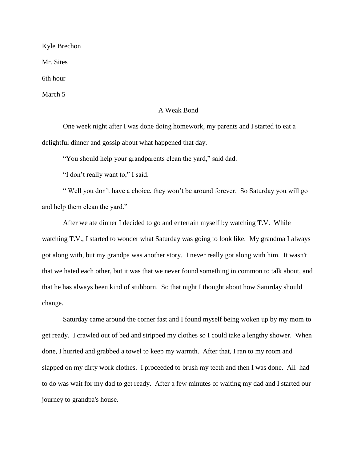Kyle Brechon

Mr. Sites

6th hour

March 5

## A Weak Bond

One week night after I was done doing homework, my parents and I started to eat a delightful dinner and gossip about what happened that day.

"You should help your grandparents clean the yard," said dad.

"I don't really want to," I said.

" Well you don't have a choice, they won't be around forever. So Saturday you will go and help them clean the yard."

After we ate dinner I decided to go and entertain myself by watching T.V. While watching T.V., I started to wonder what Saturday was going to look like. My grandma I always got along with, but my grandpa was another story. I never really got along with him. It wasn't that we hated each other, but it was that we never found something in common to talk about, and that he has always been kind of stubborn. So that night I thought about how Saturday should change.

Saturday came around the corner fast and I found myself being woken up by my mom to get ready. I crawled out of bed and stripped my clothes so I could take a lengthy shower. When done, I hurried and grabbed a towel to keep my warmth. After that, I ran to my room and slapped on my dirty work clothes. I proceeded to brush my teeth and then I was done. All had to do was wait for my dad to get ready. After a few minutes of waiting my dad and I started our journey to grandpa's house.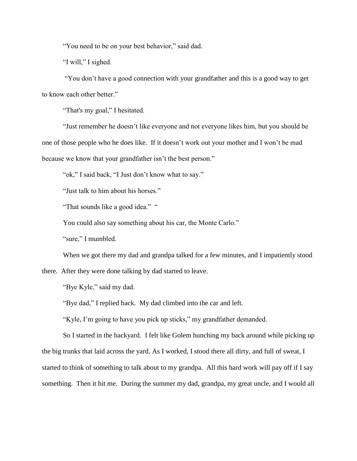"You need to be on your best behavior," said dad.

"I will," I sighed.

"You don't have a good connection with your grandfather and this is a good way to get to know each other better."

"That's my goal," I hesitated.

"Just remember he doesn't like everyone and not everyone likes him, but you should be one of those people who he does like. If it doesn't work out your mother and I won't be mad because we know that your grandfather isn't the best person."

"ok," I said back, "I Just don't know what to say."

"Just talk to him about his horses."

"That sounds like a good idea." "

You could also say something about his car, the Monte Carlo."

"sure," I mumbled.

When we got there my dad and grandpa talked for a few minutes, and I impatiently stood

there. After they were done talking by dad started to leave.

"Bye Kyle," said my dad.

"Bye dad," I replied back. My dad climbed into the car and left.

"Kyle, I'm going to have you pick up sticks," my grandfather demanded.

So I started in the backyard. I felt like Golem hunching my back around while picking up the big trunks that laid across the yard. As I worked, I stood there all dirty, and full of sweat, I started to think of something to talk about to my grandpa. All this hard work will pay off if I say something. Then it hit me. During the summer my dad, grandpa, my great uncle, and I would all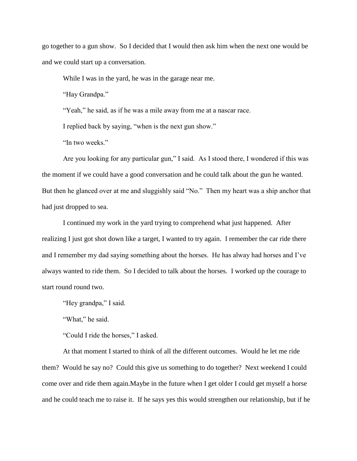go together to a gun show. So I decided that I would then ask him when the next one would be and we could start up a conversation.

While I was in the yard, he was in the garage near me.

"Hay Grandpa."

"Yeah," he said, as if he was a mile away from me at a nascar race.

I replied back by saying, "when is the next gun show."

"In two weeks."

Are you looking for any particular gun," I said. As I stood there, I wondered if this was the moment if we could have a good conversation and he could talk about the gun he wanted. But then he glanced over at me and sluggishly said "No." Then my heart was a ship anchor that had just dropped to sea.

I continued my work in the yard trying to comprehend what just happened. After realizing I just got shot down like a target, I wanted to try again. I remember the car ride there and I remember my dad saying something about the horses. He has alway had horses and I've always wanted to ride them. So I decided to talk about the horses. I worked up the courage to start round round two.

"Hey grandpa," I said.

"What," he said.

"Could I ride the horses," I asked.

At that moment I started to think of all the different outcomes. Would he let me ride them? Would he say no? Could this give us something to do together? Next weekend I could come over and ride them again.Maybe in the future when I get older I could get myself a horse and he could teach me to raise it. If he says yes this would strengthen our relationship, but if he